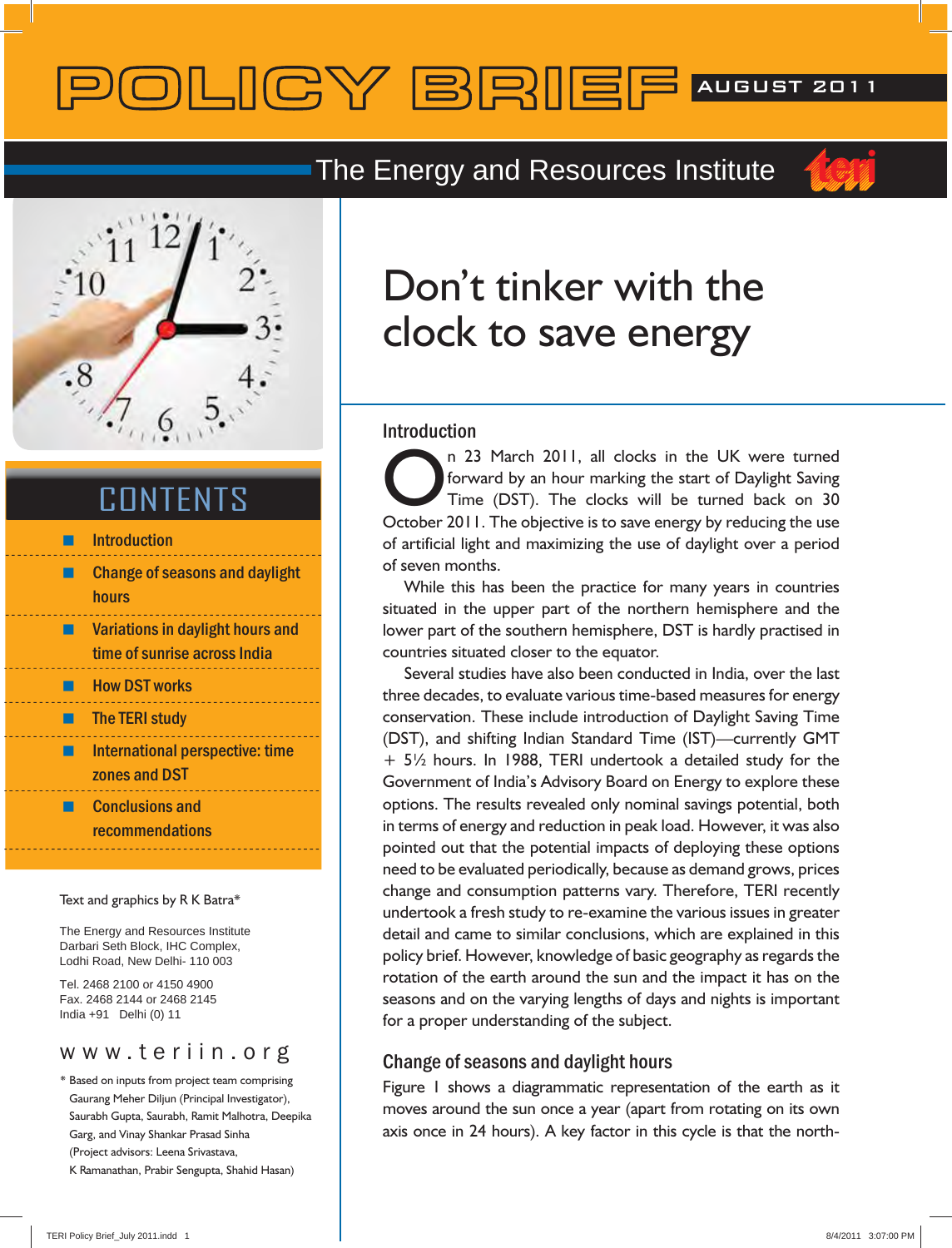# POLICY BRIEF AUGUST 2011

### **The Energy and Resources Institute**



## **CONTENTS**

|  | <b>Introduction</b>                                              |
|--|------------------------------------------------------------------|
|  | <b>Change of seasons and daylight</b><br>hours                   |
|  | Variations in daylight hours and<br>time of sunrise across India |
|  | <b>How DST works</b>                                             |
|  | <b>The TERI study</b>                                            |
|  | <b>International perspective: time</b><br>zones and DST          |
|  | <b>Conclusions and</b><br>recommendations                        |
|  |                                                                  |

#### Text and graphics by R K Batra\*

The Energy and Resources Institute Darbari Seth Block, IHC Complex, Lodhi Road, New Delhi- 110 003

Tel. 2468 2100 or 4150 4900 Fax. 2468 2144 or 2468 2145 India +91 Delhi (0) 11

\* Based on inputs from project team comprising Gaurang Meher Diljun (Principal Investigator), Saurabh Gupta, Saurabh, Ramit Malhotra, Deepika Garg, and Vinay Shankar Prasad Sinha (Project advisors: Leena Srivastava, K Ramanathan, Prabir Sengupta, Shahid Hasan)

## Don't tinker with the clock to save energy

#### **Introduction**

n 23 March 2011, all clocks in the UK were turned forward by an hour marking the start of Daylight Saving Time (DST). The clocks will be turned back on 30 October 2011. The objective is to save energy by reducing the use of artificial light and maximizing the use of daylight over a period of seven months.

 While this has been the practice for many years in countries situated in the upper part of the northern hemisphere and the lower part of the southern hemisphere, DST is hardly practised in countries situated closer to the equator.

 Several studies have also been conducted in India, over the last three decades, to evaluate various time-based measures for energy conservation. These include introduction of Daylight Saving Time (DST), and shifting Indian Standard Time (IST)—currently GMT + 5½ hours. In 1988, TERI undertook a detailed study for the Government of India's Advisory Board on Energy to explore these options. The results revealed only nominal savings potential, both in terms of energy and reduction in peak load. However, it was also pointed out that the potential impacts of deploying these options need to be evaluated periodically, because as demand grows, prices change and consumption patterns vary. Therefore, TERI recently undertook a fresh study to re-examine the various issues in greater detail and came to similar conclusions, which are explained in this policy brief. However, knowledge of basic geography as regards the rotation of the earth around the sun and the impact it has on the seasons and on the varying lengths of days and nights is important for a proper understanding of the subject.

### **Change of seasons and daylight hours**

Figure 1 shows a diagrammatic representation of the earth as it moves around the sun once a year (apart from rotating on its own axis once in 24 hours). A key factor in this cycle is that the north-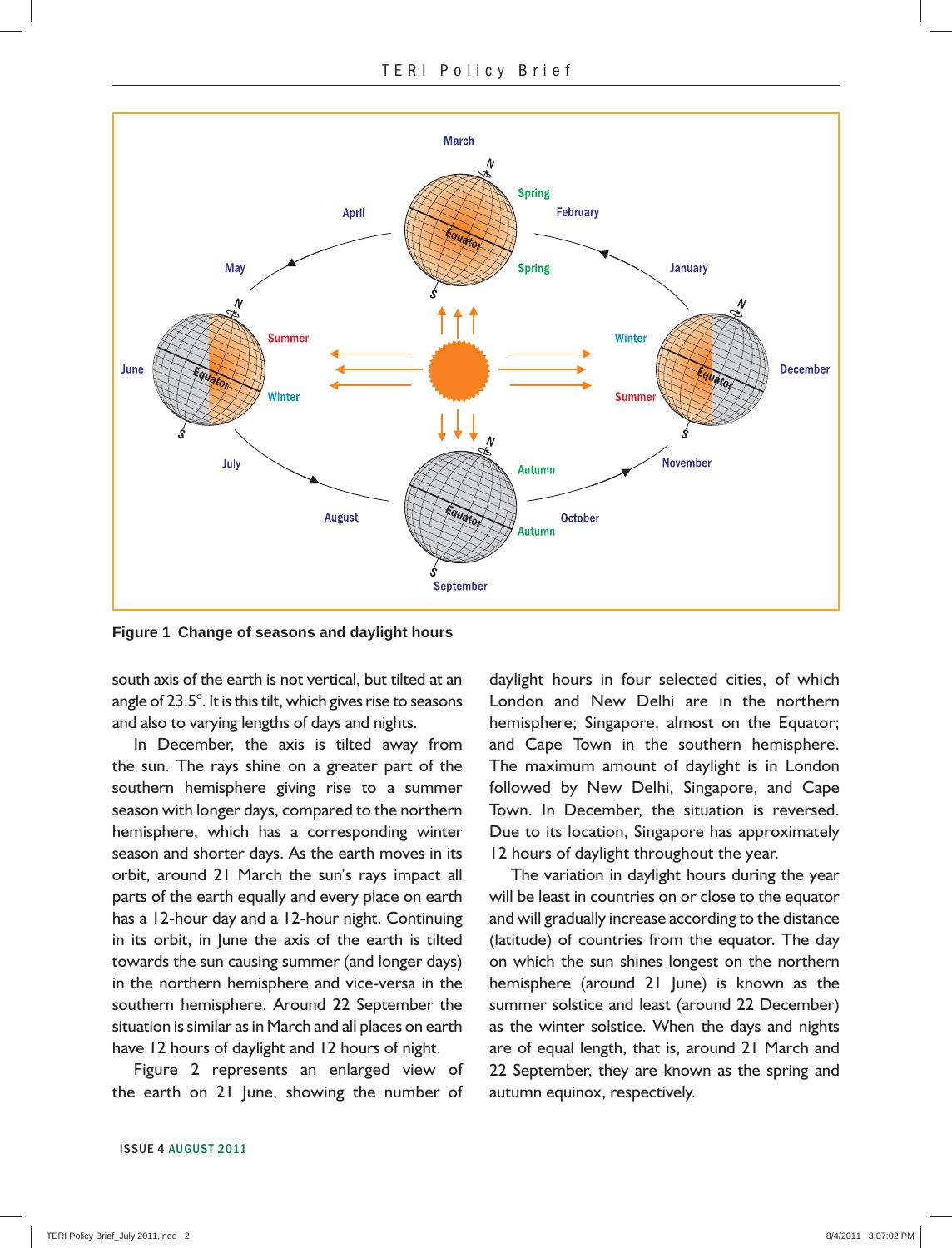

**Figure 1 Change of seasons and daylight hours**

south axis of the earth is not vertical, but tilted at an angle of 23.5°. It is this tilt, which gives rise to seasons and also to varying lengths of days and nights.

 In December, the axis is tilted away from the sun. The rays shine on a greater part of the southern hemisphere giving rise to a summer season with longer days, compared to the northern hemisphere, which has a corresponding winter season and shorter days. As the earth moves in its orbit, around 21 March the sun's rays impact all parts of the earth equally and every place on earth has a 12-hour day and a 12-hour night. Continuing in its orbit, in June the axis of the earth is tilted towards the sun causing summer (and longer days) in the northern hemisphere and vice-versa in the southern hemisphere. Around 22 September the situation is similar as in March and all places on earth have 12 hours of daylight and 12 hours of night.

 Figure 2 represents an enlarged view of the earth on 21 June, showing the number of

London and New Delhi are in the northern hemisphere; Singapore, almost on the Equator; and Cape Town in the southern hemisphere. The maximum amount of daylight is in London followed by New Delhi, Singapore, and Cape Town. In December, the situation is reversed. Due to its location, Singapore has approximately 12 hours of daylight throughout the year.

daylight hours in four selected cities, of which

 The variation in daylight hours during the year will be least in countries on or close to the equator and will gradually increase according to the distance (latitude) of countries from the equator. The day on which the sun shines longest on the northern hemisphere (around 21 June) is known as the summer solstice and least (around 22 December) as the winter solstice. When the days and nights are of equal length, that is, around 21 March and 22 September, they are known as the spring and autumn equinox, respectively.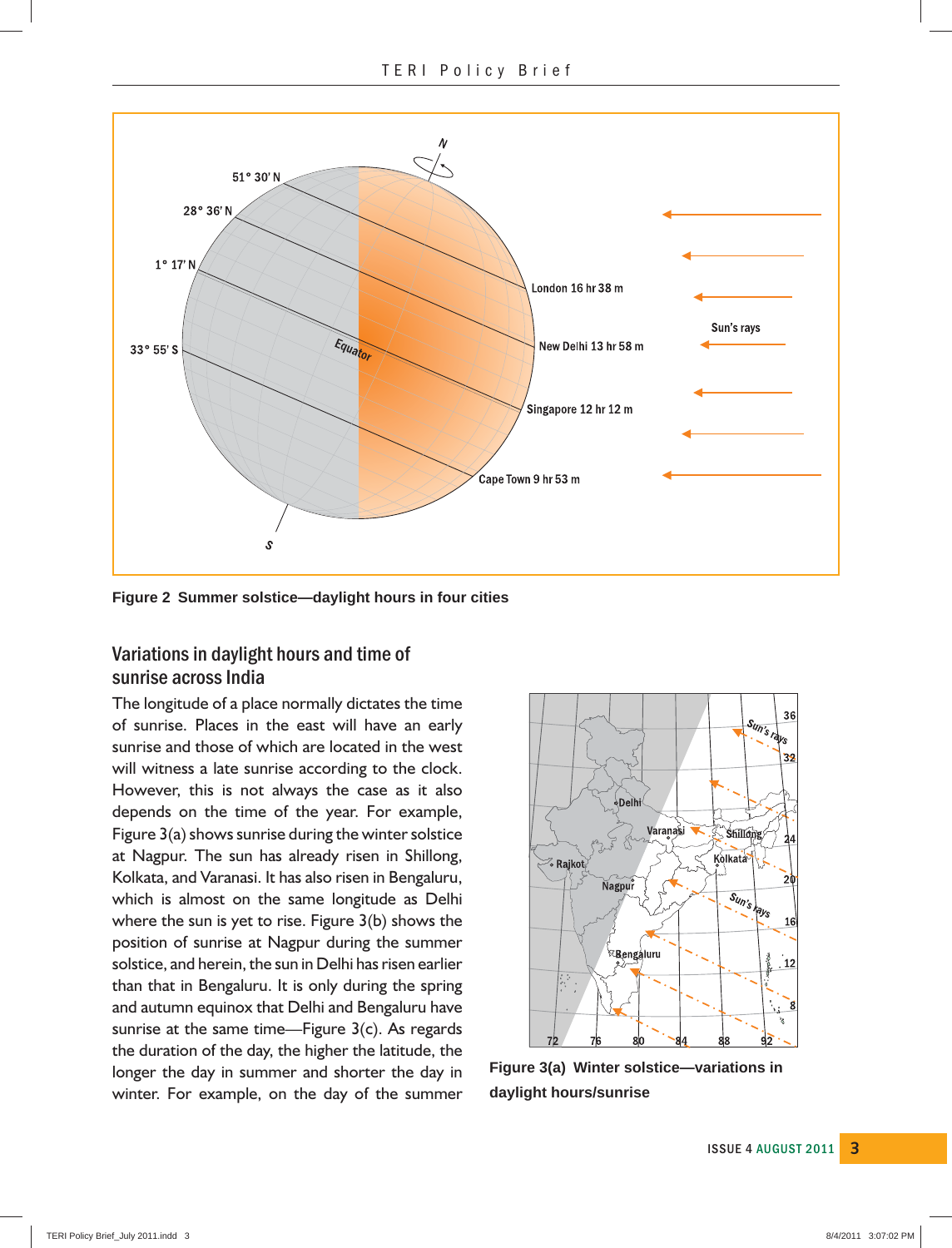

**Figure 2 Summer solstice—daylight hours in four cities**

### **Variations in daylight hours and time of sunrise across India**

The longitude of a place normally dictates the time of sunrise. Places in the east will have an early sunrise and those of which are located in the west will witness a late sunrise according to the clock. However, this is not always the case as it also depends on the time of the year. For example, Figure 3(a) shows sunrise during the winter solstice at Nagpur. The sun has already risen in Shillong, Kolkata, and Varanasi. It has also risen in Bengaluru, which is almost on the same longitude as Delhi where the sun is yet to rise. Figure 3(b) shows the position of sunrise at Nagpur during the summer solstice, and herein, the sun in Delhi has risen earlier than that in Bengaluru. It is only during the spring and autumn equinox that Delhi and Bengaluru have sunrise at the same time—Figure 3(c). As regards the duration of the day, the higher the latitude, the longer the day in summer and shorter the day in winter. For example, on the day of the summer



**Figure 3(a) Winter solstice—variations in daylight hours/sunrise**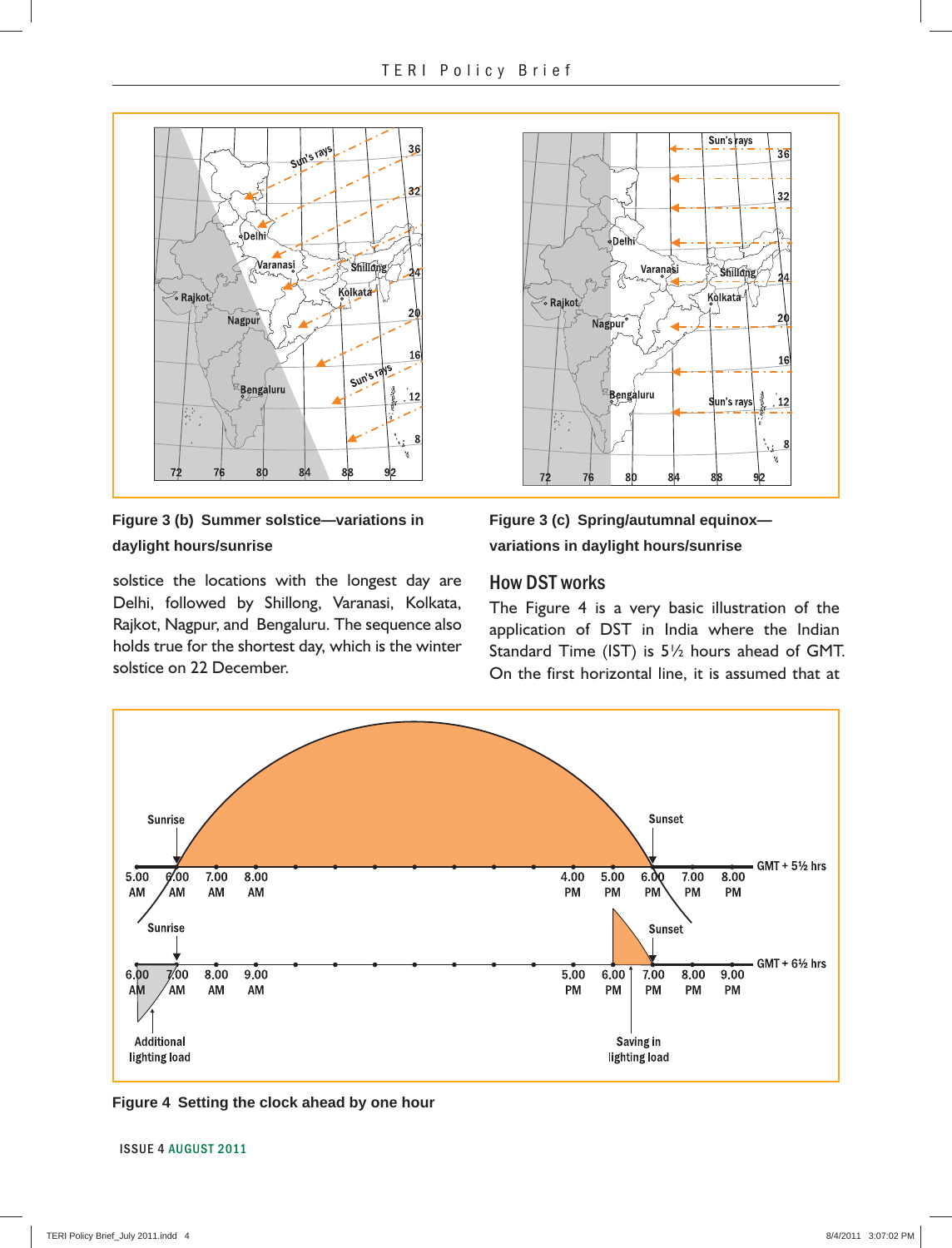

**Figure 3 (b) Summer solstice—variations in daylight hours/sunrise**

solstice the locations with the longest day are Delhi, followed by Shillong, Varanasi, Kolkata, Rajkot, Nagpur, and Bengaluru. The sequence also holds true for the shortest day, which is the winter solstice on 22 December.



**Figure 3 (c) Spring/autumnal equinox variations in daylight hours/sunrise**

#### **How DST works**

The Figure 4 is a very basic illustration of the application of DST in India where the Indian Standard Time (IST) is 5½ hours ahead of GMT. On the first horizontal line, it is assumed that at



**Figure 4 Setting the clock ahead by one hour**

**4 ISSUE 4 AUGUST 2011**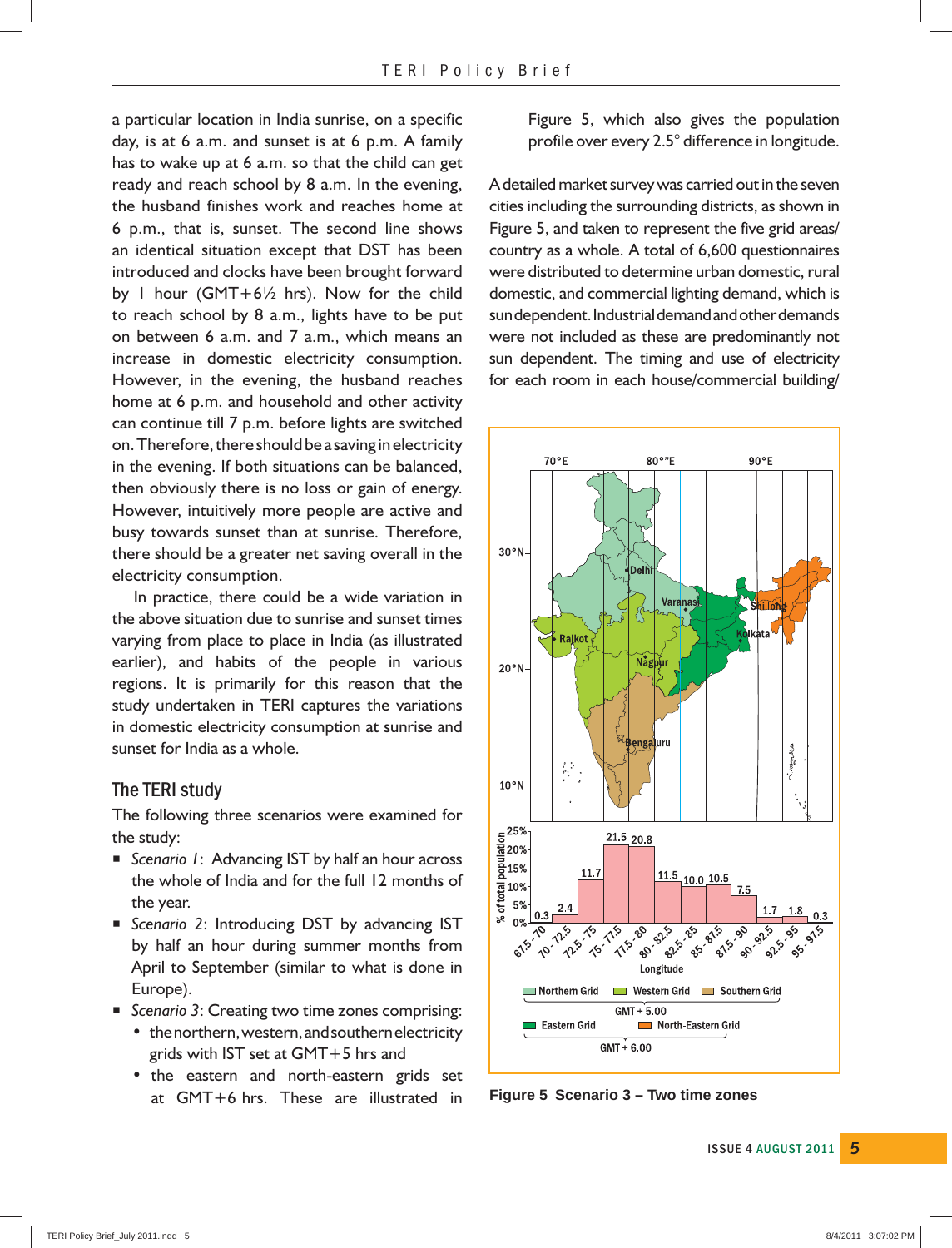a particular location in India sunrise, on a specific day, is at 6 a.m. and sunset is at 6 p.m. A family has to wake up at 6 a.m. so that the child can get ready and reach school by 8 a.m. In the evening, the husband finishes work and reaches home at 6 p.m., that is, sunset. The second line shows an identical situation except that DST has been introduced and clocks have been brought forward by 1 hour (GMT+6½ hrs). Now for the child to reach school by 8 a.m., lights have to be put on between 6 a.m. and 7 a.m., which means an increase in domestic electricity consumption. However, in the evening, the husband reaches home at 6 p.m. and household and other activity can continue till 7 p.m. before lights are switched on. Therefore, there should be a saving in electricity in the evening. If both situations can be balanced, then obviously there is no loss or gain of energy. However, intuitively more people are active and busy towards sunset than at sunrise. Therefore, there should be a greater net saving overall in the electricity consumption.

 In practice, there could be a wide variation in the above situation due to sunrise and sunset times varying from place to place in India (as illustrated earlier), and habits of the people in various regions. It is primarily for this reason that the study undertaken in TERI captures the variations in domestic electricity consumption at sunrise and sunset for India as a whole.

#### **The TERI study**

The following three scenarios were examined for the study:

- *Scenario 1*: Advancing IST by half an hour across the whole of India and for the full 12 months of the year.
- **E** Scenario 2: Introducing DST by advancing IST by half an hour during summer months from April to September (similar to what is done in Europe).
- *Scenario 3*: Creating two time zones comprising:
	- the northern, western, and southern electricity grids with IST set at GMT+5 hrs and
	- the eastern and north-eastern grids set at GMT+6 hrs. These are illustrated in

Figure 5, which also gives the population profile over every 2.5° difference in longitude.

A detailed market survey was carried out in the seven cities including the surrounding districts, as shown in Figure 5, and taken to represent the five grid areas/ country as a whole. A total of 6,600 questionnaires were distributed to determine urban domestic, rural domestic, and commercial lighting demand, which is sun dependent. Industrial demand and other demands were not included as these are predominantly not sun dependent. The timing and use of electricity for each room in each house/commercial building/



**Figure 5 Scenario 3 – Two time zones**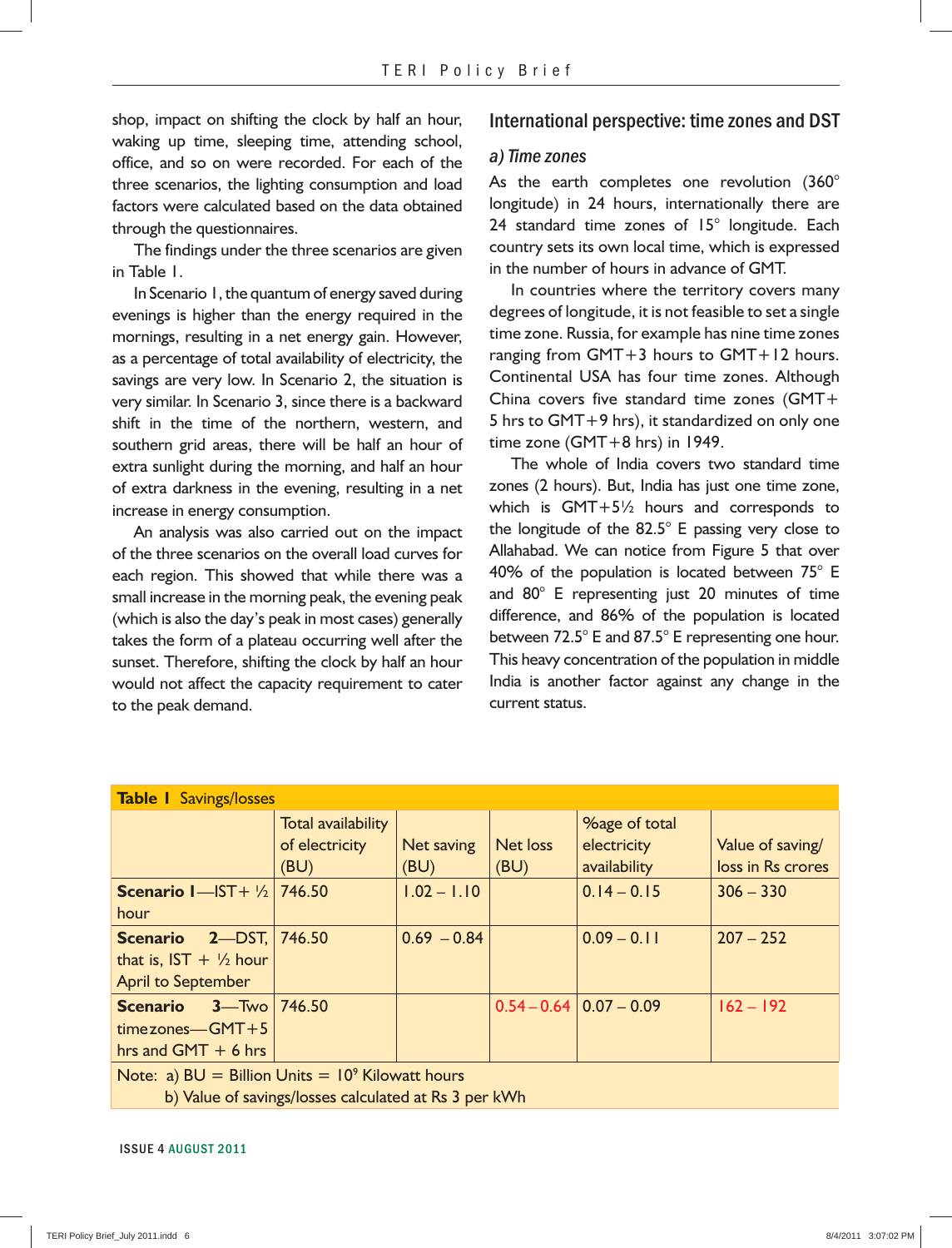shop, impact on shifting the clock by half an hour, waking up time, sleeping time, attending school, office, and so on were recorded. For each of the three scenarios, the lighting consumption and load factors were calculated based on the data obtained through the questionnaires.

 The findings under the three scenarios are given in Table 1.

 In Scenario 1, the quantum of energy saved during evenings is higher than the energy required in the mornings, resulting in a net energy gain. However, as a percentage of total availability of electricity, the savings are very low. In Scenario 2, the situation is very similar. In Scenario 3, since there is a backward shift in the time of the northern, western, and southern grid areas, there will be half an hour of extra sunlight during the morning, and half an hour of extra darkness in the evening, resulting in a net increase in energy consumption.

 An analysis was also carried out on the impact of the three scenarios on the overall load curves for each region. This showed that while there was a small increase in the morning peak, the evening peak (which is also the day's peak in most cases) generally takes the form of a plateau occurring well after the sunset. Therefore, shifting the clock by half an hour would not affect the capacity requirement to cater to the peak demand.

#### **International perspective: time zones and DST**

#### *a) Time zones*

As the earth completes one revolution (360° longitude) in 24 hours, internationally there are 24 standard time zones of 15° longitude. Each country sets its own local time, which is expressed in the number of hours in advance of GMT.

 In countries where the territory covers many degrees of longitude, it is not feasible to set a single time zone. Russia, for example has nine time zones ranging from GMT+3 hours to GMT+12 hours. Continental USA has four time zones. Although China covers five standard time zones (GMT+ 5 hrs to GMT+9 hrs), it standardized on only one time zone (GMT+8 hrs) in 1949.

 The whole of India covers two standard time zones (2 hours). But, India has just one time zone, which is GMT+5½ hours and corresponds to the longitude of the 82.5° E passing very close to Allahabad. We can notice from Figure 5 that over 40% of the population is located between 75° E and 80° E representing just 20 minutes of time difference, and 86% of the population is located between 72.5° E and 87.5° E representing one hour. This heavy concentration of the population in middle India is another factor against any change in the current status.

| <b>Table I</b> Savings/losses                                                                             |                                              |                    |                         |                                                     |                                       |  |
|-----------------------------------------------------------------------------------------------------------|----------------------------------------------|--------------------|-------------------------|-----------------------------------------------------|---------------------------------------|--|
|                                                                                                           | Total availability<br>of electricity<br>(BU) | Net saving<br>(BU) | <b>Net loss</b><br>(BU) | <b>%age of total</b><br>electricity<br>availability | Value of saving/<br>loss in Rs crores |  |
| <b>Scenario I</b> -IST+ $\frac{1}{2}$<br>hour                                                             | 746.50                                       | $1.02 - 1.10$      |                         | $0.14 - 0.15$                                       | $306 - 330$                           |  |
| <b>2-DST, 746.50</b><br><b>Scenario</b><br>that is, $IST + \frac{1}{2}$ hour<br><b>April to September</b> |                                              | $0.69 - 0.84$      |                         | $0.09 - 0.11$                                       | $207 - 252$                           |  |
| <b>Scenario</b> $3-$ Two 746.50<br>$time zones - GMT + 5$<br>hrs and $GMT + 6$ hrs                        |                                              |                    |                         | $0.54 - 0.64 \mid 0.07 - 0.09$                      | $162 - 192$                           |  |
| Note: a) $BU =$ Billion Units = $10^9$ Kilowatt hours                                                     |                                              |                    |                         |                                                     |                                       |  |

b) Value of savings/losses calculated at Rs 3 per kWh

**6 ISSUE 4 AUGUST 2011**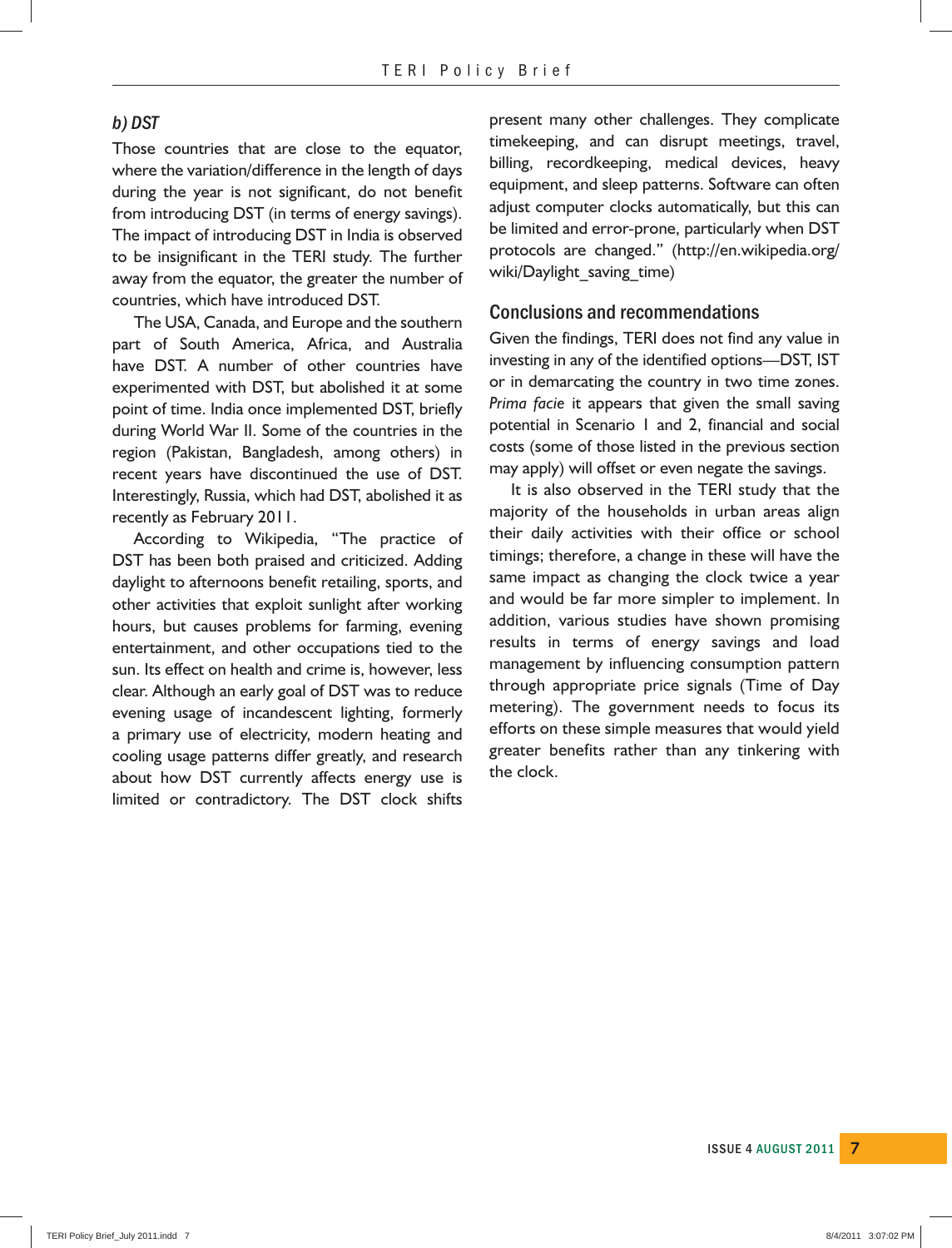#### *b) DST*

Those countries that are close to the equator, where the variation/difference in the length of days during the year is not significant, do not benefit from introducing DST (in terms of energy savings). The impact of introducing DST in India is observed to be insignificant in the TERI study. The further away from the equator, the greater the number of countries, which have introduced DST.

 The USA, Canada, and Europe and the southern part of South America, Africa, and Australia have DST. A number of other countries have experimented with DST, but abolished it at some point of time. India once implemented DST, briefly during World War II. Some of the countries in the region (Pakistan, Bangladesh, among others) in recent years have discontinued the use of DST. Interestingly, Russia, which had DST, abolished it as recently as February 2011.

 According to Wikipedia, "The practice of DST has been both praised and criticized. Adding daylight to afternoons benefit retailing, sports, and other activities that exploit sunlight after working hours, but causes problems for farming, evening entertainment, and other occupations tied to the sun. Its effect on health and crime is, however, less clear. Although an early goal of DST was to reduce evening usage of incandescent lighting, formerly a primary use of electricity, modern heating and cooling usage patterns differ greatly, and research about how DST currently affects energy use is limited or contradictory. The DST clock shifts

present many other challenges. They complicate timekeeping, and can disrupt meetings, travel, billing, recordkeeping, medical devices, heavy equipment, and sleep patterns. Software can often adjust computer clocks automatically, but this can be limited and error-prone, particularly when DST protocols are changed." (http://en.wikipedia.org/ wiki/Daylight\_saving\_time)

#### **Conclusions and recommendations**

Given the findings, TERI does not find any value in investing in any of the identified options—DST, IST or in demarcating the country in two time zones. *Prima facie* it appears that given the small saving potential in Scenario 1 and 2, financial and social costs (some of those listed in the previous section may apply) will offset or even negate the savings.

 It is also observed in the TERI study that the majority of the households in urban areas align their daily activities with their office or school timings; therefore, a change in these will have the same impact as changing the clock twice a year and would be far more simpler to implement. In addition, various studies have shown promising results in terms of energy savings and load management by influencing consumption pattern through appropriate price signals (Time of Day metering). The government needs to focus its efforts on these simple measures that would yield greater benefits rather than any tinkering with the clock.

**ISSUE 4 AUGUST 2011 7**